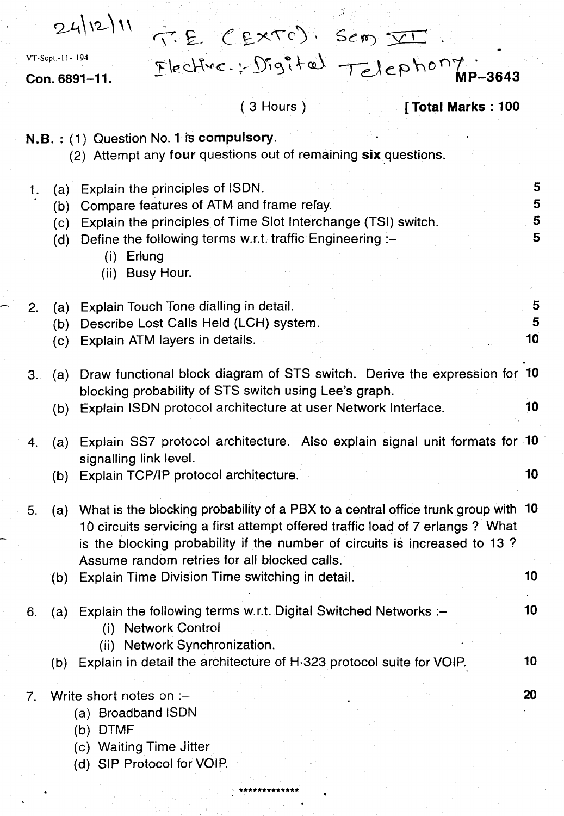$T.E.$   $C E X T C$ ). Sem  $\Pi$ .

 $F$ lective.:-  $D^r g$ ital  $\tau$ elephony

Con. 6891-11.

VT-Sept.-11-194

 $(3$  Hours)

#### [Total Marks: 100

|    |     | N.B.: (1) Question No. 1 is compulsory.                                                                                                                     |    |
|----|-----|-------------------------------------------------------------------------------------------------------------------------------------------------------------|----|
|    |     | (2) Attempt any four questions out of remaining six questions.                                                                                              |    |
| 1. | (a) | Explain the principles of ISDN.                                                                                                                             | 5  |
|    | (b) | Compare features of ATM and frame relay.                                                                                                                    | 5  |
|    | (c) | Explain the principles of Time Slot Interchange (TSI) switch.                                                                                               | 5  |
|    | (d) | Define the following terms w.r.t. traffic Engineering :-                                                                                                    | 5  |
|    |     | Erlung<br>(i)                                                                                                                                               |    |
|    |     | Busy Hour.<br>(ii)                                                                                                                                          |    |
|    |     |                                                                                                                                                             | 5  |
| 2. | (a) | Explain Touch Tone dialling in detail.                                                                                                                      | 5  |
|    | (b) | Describe Lost Calls Held (LCH) system.<br>(c) Explain ATM layers in details.                                                                                | 10 |
|    |     |                                                                                                                                                             |    |
| З. | (a) | Draw functional block diagram of STS switch. Derive the expression for 10                                                                                   |    |
|    |     | blocking probability of STS switch using Lee's graph.                                                                                                       |    |
|    | (b) | Explain ISDN protocol architecture at user Network Interface.                                                                                               | 10 |
|    |     |                                                                                                                                                             |    |
| 4. | (a) | Explain SS7 protocol architecture. Also explain signal unit formats for 10                                                                                  |    |
|    |     | signalling link level.                                                                                                                                      |    |
|    | (b) | Explain TCP/IP protocol architecture.                                                                                                                       | 10 |
|    |     |                                                                                                                                                             |    |
| 5. | (a) | What is the blocking probability of a PBX to a central office trunk group with 10                                                                           |    |
|    |     | 10 circuits servicing a first attempt offered traffic load of 7 erlangs ? What<br>is the blocking probability if the number of circuits is increased to 13? |    |
|    |     | Assume random retries for all blocked calls.                                                                                                                |    |
|    | (b) | Explain Time Division Time switching in detail.                                                                                                             | 10 |
|    |     |                                                                                                                                                             |    |
| 6. |     | (a) Explain the following terms w.r.t. Digital Switched Networks :-                                                                                         | 10 |
|    |     | (i) Network Control.                                                                                                                                        |    |
|    |     | Network Synchronization.<br>(ii)                                                                                                                            |    |
|    | (b) | Explain in detail the architecture of H-323 protocol suite for VOIP.                                                                                        | 10 |
|    |     |                                                                                                                                                             |    |
| 7. |     | Write short notes on :-                                                                                                                                     | 20 |
|    |     | (a) Broadband ISDN                                                                                                                                          |    |
|    |     | (b) DTMF                                                                                                                                                    |    |

(c) Waiting Time Jitter (d) SIP Protocol for VOIP.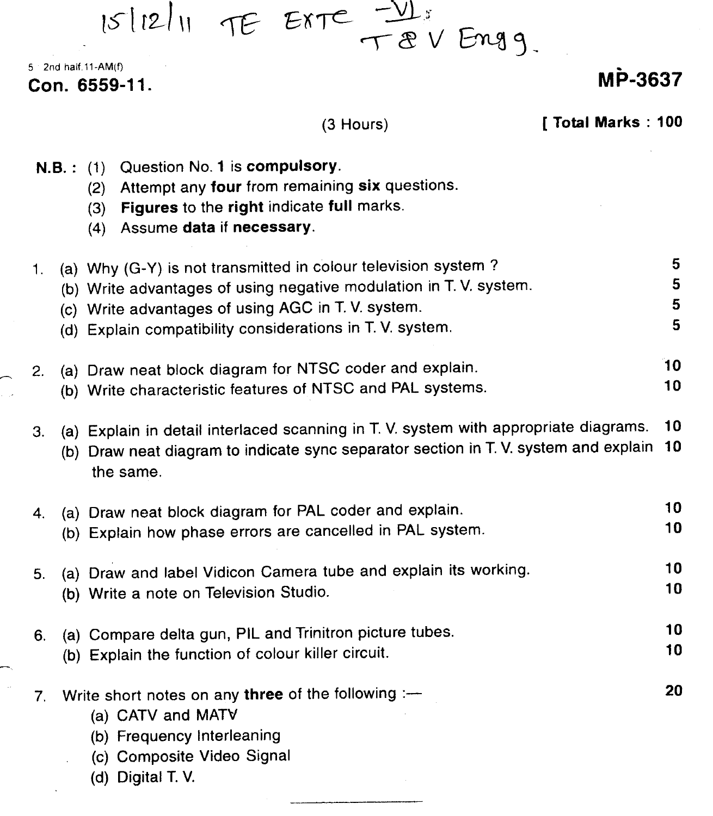$15|12|$ 11 TE EXTE  $\frac{-11}{T}$  EN Engg.

5 2nd half.11-AM(f)

### **Con. 6559-11.**

#### .<br>m **MP-3637**

| (3 Hours) |  |  |  |  |  |  |
|-----------|--|--|--|--|--|--|
|-----------|--|--|--|--|--|--|

[ Total Marks: 100

- **N.S.:** (1) Question NO.1 is **compulsory.**
	- (2) Attempt any **four** from remaining **six** questions.
	- (3) **Figures** to the **right** indicate **full** marks.
	- (4) Assume **data if necessary.**

| 1 <sub>1</sub> | (a) Why (G-Y) is not transmitted in colour television system?<br>(b) Write advantages of using negative modulation in T.V. system.<br>(c) Write advantages of using AGC in T.V. system.<br>(d) Explain compatibility considerations in T.V. system. | 5<br>5<br>5<br>5 |
|----------------|-----------------------------------------------------------------------------------------------------------------------------------------------------------------------------------------------------------------------------------------------------|------------------|
| 2.             | (a) Draw neat block diagram for NTSC coder and explain.<br>(b) Write characteristic features of NTSC and PAL systems.                                                                                                                               | 10<br>10         |
| 3.             | (a) Explain in detail interlaced scanning in T. V. system with appropriate diagrams.<br>(b) Draw neat diagram to indicate sync separator section in T.V. system and explain<br>the same.                                                            | 10<br>10         |
| 4.             | (a) Draw neat block diagram for PAL coder and explain.<br>(b) Explain how phase errors are cancelled in PAL system.                                                                                                                                 | 10<br>10         |
| 5.             | (a) Draw and label Vidicon Camera tube and explain its working.<br>(b) Write a note on Television Studio.                                                                                                                                           | 10<br>10         |
| 6.             | (a) Compare delta gun, PIL and Trinitron picture tubes.<br>(b) Explain the function of colour killer circuit.                                                                                                                                       | 10<br>10         |
| 7.             | Write short notes on any three of the following :-<br>(a) CATV and MATV<br>(b) Frequency Interleaning<br>(c) Composite Video Signal<br>(d) Digital T.V.                                                                                             | 20               |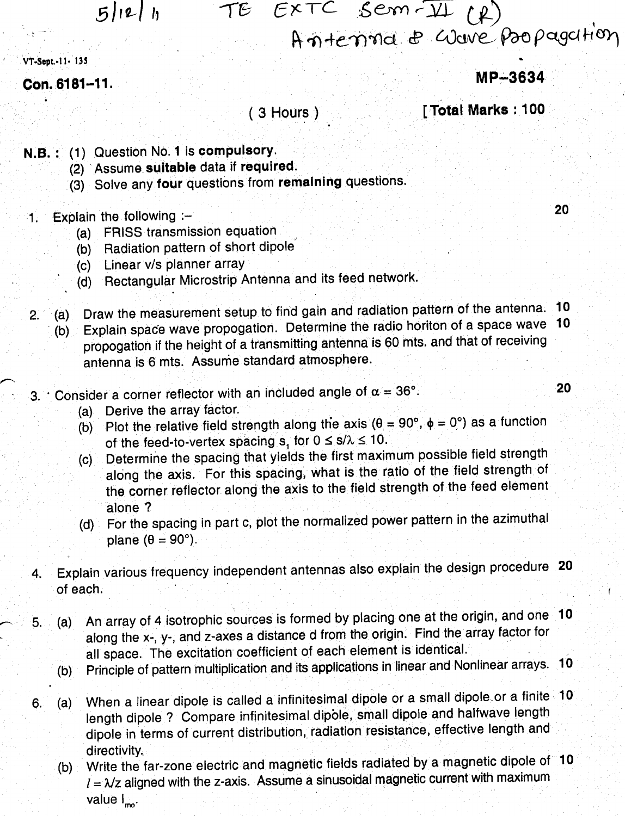## $5|12|h$

# -r& *e~*TC *.:6exn <sup>~</sup>*JLL U-) , (.t 1)~e-1i~d ,eP ,0UdN'e..- <sup>~</sup> *<sup>P</sup>* et8c{ htrY)

VT-Sept.-11- 135

Con. 6181-11.

### MP-3634

 $(3$  Hours)

**[Total Marks: 100** 

- N.S.: (1) Question No.1 is compulsory.
	- (2) Assume suitable data if required.
	- .(3) Solve any four questions from remaining questions.

#### 1. Explain the following  $-$

- (a) FRISS transmission equation
- (b) Radiation pattern of short dipole
- (c) Linear *vis* planner array
- (d) Rectangular Microstrip Antenna and its feed network.
- 2. (a) Draw the measurement setup to find gain and radiation pattern of the antenna. 10
	- . (b) Explain space wave propogation. Determine the radio horiton of a space wave 10 propogation if the height of a transmitting antenna is 60 mts. and that of receiving antenna is 6 mts. Assume standard atmosphere.
- 3. Consider a corner reflector with an included angle of  $\alpha = 36^{\circ}$ . 20
	- (a) Derive the array factor.
	- (b) Plot the relative field strength along the axis ( $\theta = 90^{\circ}$ ,  $\phi = 0^{\circ}$ ) as a function of the feed-to-vertex spacing  $s_1$  for  $0 \le s/\lambda \le 10$ .
	- (c) Determine the spacing that yields the first maximum possible field strength along the axis. For this spacing, what is the ratio of the field strength of the corner reflector along the axis to the field strength of the feed element alone?
	- (d) For the spacing in part c, plot the normalized power pattern in the azimuthal plane ( $\theta = 90^{\circ}$ ).
- 4. Explain various frequency independent antennas also explain the design procedure 20 of each.
- 5. (a) An array of 4 isotrophic sources is formed by placing one at the origin, and one 10 along the X-, y-, and z-axes a distance d from the origin. Find the array factor for all space. The excitation coefficient of each element is identical. .
	- (b) Principle of pattern multiplication and its applications in linear and Nonlinear arrays. 10
- 6. (a) When a linear dipole is called a infinitesimal dipole or a small dipole,or a finite 10 length dipole? Compare infinitesimal dipole, small dipole and halfwave length dipole in terms of current distribution, radiation resistance, effective length and directivity.
	- (b) Write the far-zone electric and magnetic fields radiated by a magnetic dipole of 10  $1 = \lambda / z$  aligned with the z-axis. Assume a sinusoidal magnetic current with maximum value I<sub>mo</sub>.

 $20<sub>2</sub>$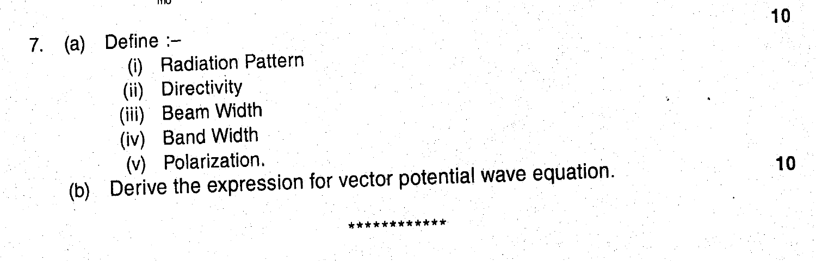$(a)$  Define:-(i) Radiation Pattern (ii) Directivity (iii) Beam Width (iv) Band Width (v) Polarization. (b) Derive the expression for vector potential wave equation.

\*\*\*\*\*\*\*\*\*\*\*\*

10

 $-10$ 

- 11 IV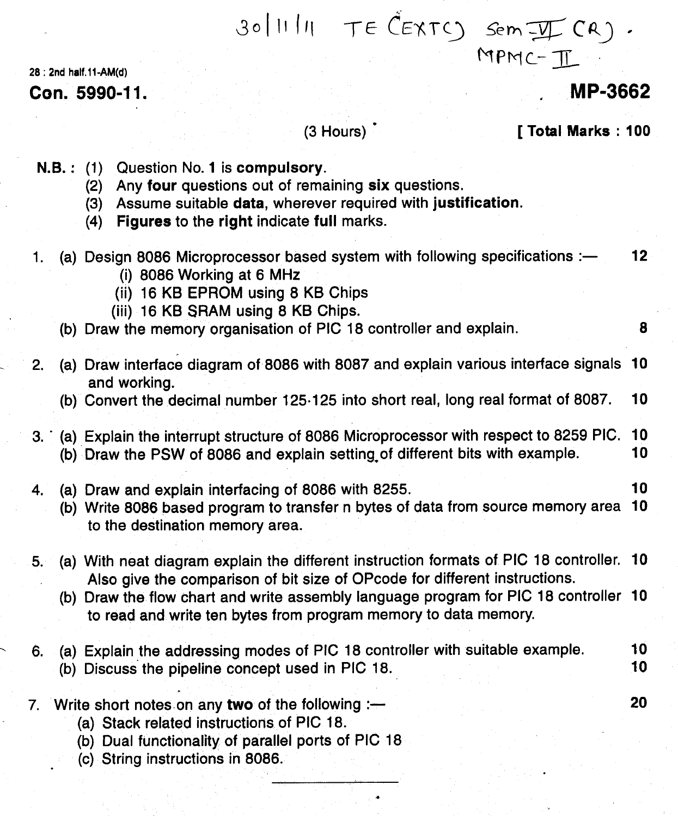# $3011111$  TE CEXTC) Sem II  $CR$ ). MPM $c$ - $\mathbb{I}$

28 : 2nd half.11·AM(d)

#### Con. 5990-11.

### **MP-3662**

#### $(3$  Hours)

#### [ Total Marks: 100

- N.B.: (1) Question No. 1 is compulsory.
	- (2) Any four questions out of remaining six questions.
	- (3) Assume suitable data, wherever required with justification.
	- (4) Figures to the right indicate full marks.

| 1. | (a) Design 8086 Microprocessor based system with following specifications :-<br>(i) 8086 Working at 6 MHz<br>(ii) 16 KB EPROM using 8 KB Chips<br>(iii) 16 KB SRAM using 8 KB Chips. | $12 -$   |
|----|--------------------------------------------------------------------------------------------------------------------------------------------------------------------------------------|----------|
|    | (b) Draw the memory organisation of PIC 18 controller and explain.                                                                                                                   | 8        |
|    | 2. (a) Draw interface diagram of 8086 with 8087 and explain various interface signals 10<br>and working.                                                                             |          |
|    | (b) Convert the decimal number 125.125 into short real, long real format of 8087.                                                                                                    | 10       |
|    | 3. (a) Explain the interrupt structure of 8086 Microprocessor with respect to 8259 PIC.<br>(b) Draw the PSW of 8086 and explain setting of different bits with example.              | 10<br>10 |
| 4. | (a) Draw and explain interfacing of 8086 with 8255.<br>(b) Write 8086 based program to transfer n bytes of data from source memory area<br>to the destination memory area.           | 10<br>10 |
|    | 5. (a) With neat diagram explain the different instruction formats of PIC 18 controller. 10<br>Also give the comparison of bit size of OPcode for different instructions.            |          |
|    | (b) Draw the flow chart and write assembly language program for PIC 18 controller 10<br>to read and write ten bytes from program memory to data memory.                              |          |
| 6. | (a) Explain the addressing modes of PIC 18 controller with suitable example.<br>(b) Discuss the pipeline concept used in PIC 18.                                                     | 10<br>10 |
|    | 7. Write short notes on any two of the following :-<br>(a) Stack related instructions of PIC 18.<br>(b) Dual functionality of parallel ports of PIC 18                               | 20       |

(c) String instructions in 8086.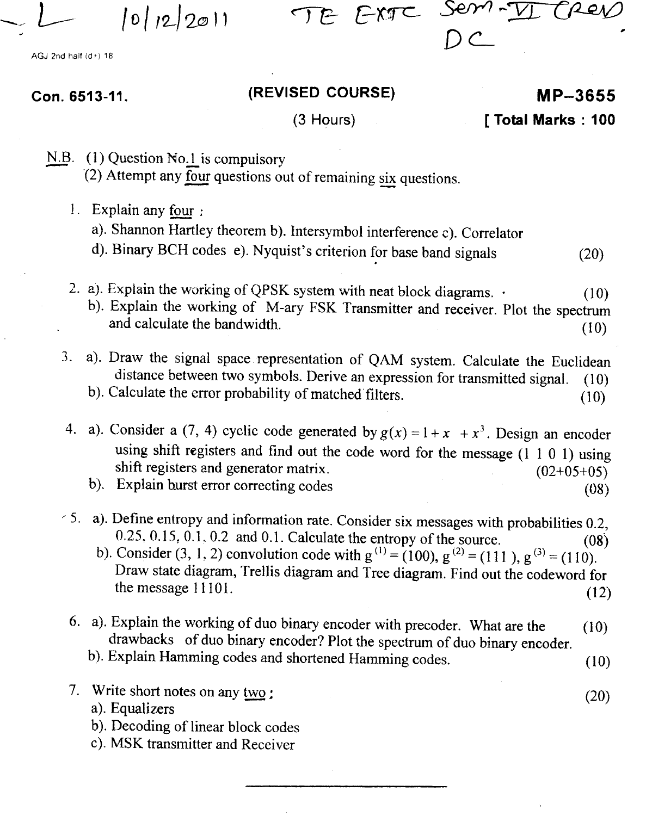, <sup>0</sup> *<sup>I</sup> f2-!2t2J* Il

TE EXTC Sem-VI

AGJ 2nd half (d+) 18

Con. 6513-11.

#### **(REVISED COURSE)**

**MP-3655 [ Total Marks: 100**

(3 Hours)

- N.B. (1) Question No.1 is compulsory
	- (2) Attempt any four questions out of remaining six questions.
	- 1. Explain any four :
		- a). Shannon Hartley theorem b). Intersymbol interference c). Correlator
		- d). Binary BCH codes *e).* Nyquist's criterion for base band signals (20)
	- 2. a). Explain the working of QPSK system with neat block diagrams.  $\cdot$  (10) b). Explain the working of M-ary FSK Transmitter and receiver. Plot the spectrum and calculate the bandwidth.  $(10)$
	- 3. a). Draw the signal space representation of QAM system. Calculate the Euclidean distance between two symbols. Derive an expression for transmitted signal. (10) b). Calculate the error probability of matched filters.  $(10)$

4. a). Consider a (7, 4) cyclic code generated by  $g(x) = 1 + x + x^3$ . Design an encode using shift registers and find out the code word for the message (1 1 0 1) using shift registers and generator matrix.  $(02+0.5+0.5)$ 

- b). Explain burst error correcting codes (08)
- $\leq$  5. a). Define entropy and information rate. Consider six messages with probabilities 0.2, 0.25, 0.15,  $\overline{0.1}$ , 0.2 and 0.1. Calculate the entropy of the source. (08)

b). Consider (3, 1, 2) convolution code with  $g^{(1)} = (100)$ ,  $g^{(2)} = (111)$ ,  $g^{(3)} = (110)$ . Draw state diagram, Trellis diagram and Tree diagram. Find out the codeword for the message  $11101.$  (12)

- 6. a). Explain the working of duo binary encoder with precoder. What are the (10) drawbacks of duo binary encoder? Plot the spectrum of duo binary encoder.
	- b). Explain Hamming codes and shortened Hamming codes. (10)
- 7. Write short notes on any  $\frac{two}{20}$ ;
	- a). Equalizers
	- b). Decoding of linear block codes
	- c). MSK transmitter and Receiver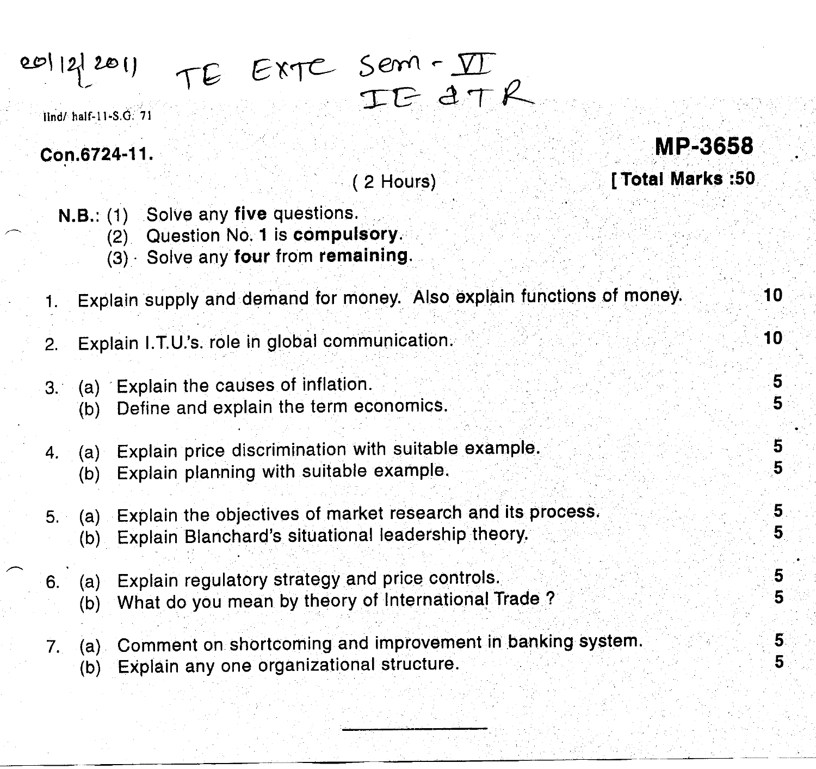#### Semi- $|20|$   $|2|20|$ IE  $A\tau R$ lind/ half-11-S.G. 71

Con.6724-11.

~

( 2 Hours)

- N.S.: (1) SolVe any **five** questions.
	- (2) Question No.1 is **compulsory.**
	- (3)' Solve any **four** from **remaining.**
- 1. Explain supply and demand for money. Also explain functions of money.
- Explain I.T.U.'s. role in global communication.  $\overline{2}$ .
- 3. (a) Explain the causes of inflation.
	- (b) Define and explain the term economics.
- 4. (a) Explain price discrimination with suitable example.
	- (b) Explain planning with suitable example.
- $5. (a)$ (b) Explain the objectives of market research and its process, Explain Blanchard's situational leadership theory.
- 6. (a) Explain regulatory strategy and price controls.
	- (b) What do you mean by theory of International Trade?
- 7. (a) Comment on shortcoming and improvement in banking system.
	- (b) Explain anyone organizational structure.

10

[Total Marks:50]

MP-3658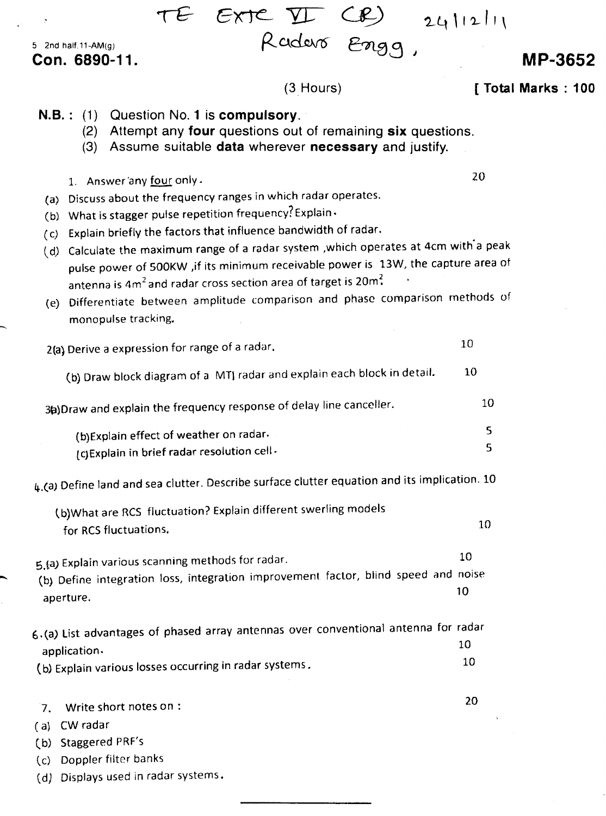|                                                               |                                                                                                                                                                                                                                                                                                                                        | TE EXTC VI (B)<br>Radevo Engg, |             | 24 12 11                                                                                                                                                                                                                                                           |                    |
|---------------------------------------------------------------|----------------------------------------------------------------------------------------------------------------------------------------------------------------------------------------------------------------------------------------------------------------------------------------------------------------------------------------|--------------------------------|-------------|--------------------------------------------------------------------------------------------------------------------------------------------------------------------------------------------------------------------------------------------------------------------|--------------------|
| 5 2nd half.11-AM(g)<br>Con. 6890-11.                          |                                                                                                                                                                                                                                                                                                                                        |                                |             |                                                                                                                                                                                                                                                                    | <b>MP-3652</b>     |
|                                                               |                                                                                                                                                                                                                                                                                                                                        |                                | $(3$ Hours) |                                                                                                                                                                                                                                                                    | [ Total Marks: 100 |
| N.B.: (1)<br>(3)                                              | Question No. 1 is compulsory.<br>(2) Attempt any four questions out of remaining six questions.<br>Assume suitable data wherever necessary and justify.                                                                                                                                                                                |                                |             |                                                                                                                                                                                                                                                                    |                    |
| (a)<br>$\left( c\right)$                                      | 1. Answer any four only.<br>Discuss about the frequency ranges in which radar operates.<br>(b) What is stagger pulse repetition frequency? Explain .<br>Explain briefly the factors that influence bandwidth of radar.<br>antenna is 4m <sup>2</sup> and radar cross section area of target is 20m <sup>2</sup><br>monopulse tracking. |                                |             | 20<br>(d) Calculate the maximum range of a radar system , which operates at 4cm with a peak<br>pulse power of 500KW, if its minimum receivable power is 13W, the capture area of<br>(e) Differentiate between amplitude comparison and phase comparison methods of |                    |
|                                                               | 2(a) Derive a expression for range of a radar.                                                                                                                                                                                                                                                                                         |                                |             | 10                                                                                                                                                                                                                                                                 |                    |
|                                                               | (b) Draw block diagram of a MTJ radar and explain each block in detail.                                                                                                                                                                                                                                                                |                                |             | 10                                                                                                                                                                                                                                                                 |                    |
|                                                               | 3a) Draw and explain the frequency response of delay line canceller.                                                                                                                                                                                                                                                                   |                                |             | 10                                                                                                                                                                                                                                                                 |                    |
|                                                               | (b) Explain effect of weather on radar.<br>(c) Explain in brief radar resolution cell -                                                                                                                                                                                                                                                |                                |             | 5<br>5                                                                                                                                                                                                                                                             |                    |
|                                                               | 4.(a) Define land and sea clutter. Describe surface clutter equation and its implication. 10                                                                                                                                                                                                                                           |                                |             |                                                                                                                                                                                                                                                                    |                    |
|                                                               | (b)What are RCS fluctuation? Explain different swerling models<br>for RCS fluctuations.                                                                                                                                                                                                                                                |                                |             | 10                                                                                                                                                                                                                                                                 |                    |
| aperture.                                                     | 5.(a) Explain various scanning methods for radar.<br>(b) Define integration loss, integration improvement factor, blind speed and noise                                                                                                                                                                                                |                                |             | 10<br>10                                                                                                                                                                                                                                                           |                    |
| application.                                                  | 6.(a) List advantages of phased array antennas over conventional antenna for radar<br>(b) Explain various losses occurring in radar systems.                                                                                                                                                                                           |                                |             | 10<br>10                                                                                                                                                                                                                                                           |                    |
| 7.<br>CW radar<br>(a)<br><b>Staggered PRF's</b><br>(b)<br>(c) | Write short notes on:<br>Doppler filter banks                                                                                                                                                                                                                                                                                          |                                |             | 20                                                                                                                                                                                                                                                                 |                    |

(d) Displays used in radar systems.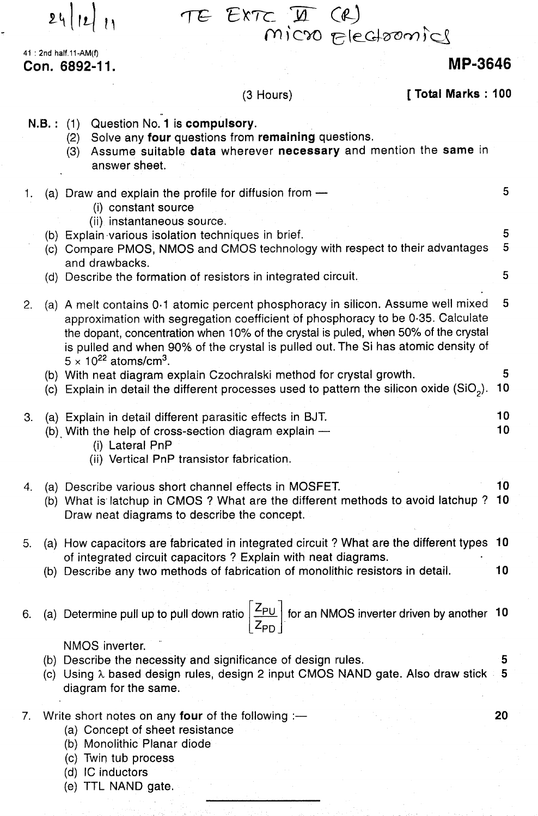$24||2|11$ 

TE EXTC II (R)<br>MICOO Electronics

41 : 2nd half.11-AM(f) **Con. 6892-11.**

### MP-3646

|        |     | UUII. UUJÆTII.                                                                                                                                                                                                                                                                                                                                                                                |          |
|--------|-----|-----------------------------------------------------------------------------------------------------------------------------------------------------------------------------------------------------------------------------------------------------------------------------------------------------------------------------------------------------------------------------------------------|----------|
|        |     | [ Total Marks: 100<br>$(3$ Hours)                                                                                                                                                                                                                                                                                                                                                             |          |
| N.B. : |     | Question No. 1 is compulsory.<br>(1)<br>Solve any four questions from remaining questions.<br>(2)<br>Assume suitable data wherever necessary and mention the same in<br>(3)<br>answer sheet.                                                                                                                                                                                                  |          |
| 1.     |     | (a) Draw and explain the profile for diffusion from $-$<br>(i) constant source                                                                                                                                                                                                                                                                                                                | 5        |
|        |     | (ii) instantaneous source.<br>(b) Explain various isolation techniques in brief.<br>(c) Compare PMOS, NMOS and CMOS technology with respect to their advantages<br>and drawbacks.                                                                                                                                                                                                             | 5<br>5   |
|        |     | (d) Describe the formation of resistors in integrated circuit.                                                                                                                                                                                                                                                                                                                                | 5        |
| 2.     |     | (a) A melt contains 0.1 atomic percent phosphoracy in silicon. Assume well mixed<br>approximation with segregation coefficient of phosphoracy to be 0.35. Calculate<br>the dopant, concentration when 10% of the crystal is puled, when 50% of the crystal<br>is pulled and when 90% of the crystal is pulled out. The Si has atomic density of<br>$5 \times 10^{22}$ atoms/cm <sup>3</sup> . | 5        |
|        |     | (b) With neat diagram explain Czochralski method for crystal growth.<br>(c) Explain in detail the different processes used to pattern the silicon oxide (SiO <sub>2</sub> ).                                                                                                                                                                                                                  | 5<br>10  |
| 3.     |     | (a) Explain in detail different parasitic effects in BJT.<br>(b) With the help of cross-section diagram explain $-$<br>(i) Lateral PnP<br>(ii) Vertical PnP transistor fabrication.                                                                                                                                                                                                           | 10<br>10 |
| 4.     |     | (a) Describe various short channel effects in MOSFET.<br>(b) What is latchup in CMOS ? What are the different methods to avoid latchup ?<br>Draw neat diagrams to describe the concept.                                                                                                                                                                                                       | 10<br>10 |
| 5.     |     | (a) How capacitors are fabricated in integrated circuit? What are the different types 10<br>of integrated circuit capacitors ? Explain with neat diagrams.                                                                                                                                                                                                                                    |          |
|        |     | (b) Describe any two methods of fabrication of monolithic resistors in detail.                                                                                                                                                                                                                                                                                                                | 10       |
| 6.     |     | (a) Determine pull up to pull down ratio $\begin{bmatrix} Z_{PU} \\ Z_{PD} \end{bmatrix}$ for an NMOS inverter driven by another 10                                                                                                                                                                                                                                                           |          |
|        | (c) | NMOS inverter.<br>(b) Describe the necessity and significance of design rules.<br>Using $\lambda$ based design rules, design 2 input CMOS NAND gate. Also draw stick<br>diagram for the same.                                                                                                                                                                                                 | 5<br>5   |
| 7.     |     | Write short notes on any four of the following :-<br>(a) Concept of sheet resistance<br>(b) Monolithic Planar diode<br>(c) Twin tub process                                                                                                                                                                                                                                                   | 20       |

- (d) IC inductors
- (e) TTL NAND gate.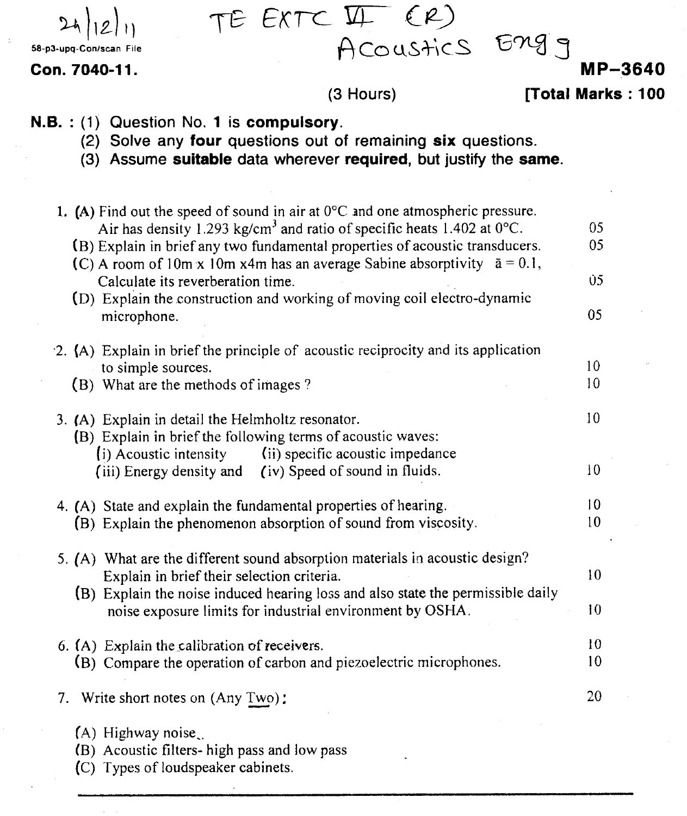$24$ 58-p3-upq-Con/scan File

Con. 7040-11.

# TS *<sup>E</sup><sup>K</sup>* IC 14- .( ¥2-) Acoustics Engg

MP-3640

#### (3 Hours) [Total Marks: 100

- N.B. : (1) Question No. 1 is compulsory.
	- (2) Solve any four questions out of remaining six questions.
	- (3) Assume suitable data wherever required, but justify the same.

| 1. (A) Find out the speed of sound in air at $0^{\circ}$ C and one atmospheric pressure.<br>Air has density 1.293 kg/cm <sup>3</sup> and ratio of specific heats 1.402 at $0^{\circ}$ C.<br>(B) Explain in brief any two fundamental properties of acoustic transducers.<br>(C) A room of 10m x 10m x4m has an average Sabine absorptivity $\bar{a} = 0.1$ ,<br>Calculate its reverberation time.<br>(D) Explain the construction and working of moving coil electro-dynamic<br>microphone. | 05<br>05<br>Û5.<br>05 |
|---------------------------------------------------------------------------------------------------------------------------------------------------------------------------------------------------------------------------------------------------------------------------------------------------------------------------------------------------------------------------------------------------------------------------------------------------------------------------------------------|-----------------------|
| 2. (A) Explain in brief the principle of acoustic reciprocity and its application                                                                                                                                                                                                                                                                                                                                                                                                           | 10                    |
| to simple sources.<br>(B) What are the methods of images?                                                                                                                                                                                                                                                                                                                                                                                                                                   | 10                    |
| 3. (A) Explain in detail the Helmholtz resonator.<br>(B) Explain in brief the following terms of acoustic waves:                                                                                                                                                                                                                                                                                                                                                                            | 10                    |
| (i) Acoustic intensity<br>(ii) specific acoustic impedance<br>(iii) Energy density and (iv) Speed of sound in fluids.                                                                                                                                                                                                                                                                                                                                                                       | 10                    |
| 4. (A) State and explain the fundamental properties of hearing.                                                                                                                                                                                                                                                                                                                                                                                                                             | 10 <sup>°</sup>       |
| (B) Explain the phenomenon absorption of sound from viscosity.                                                                                                                                                                                                                                                                                                                                                                                                                              | 10 <sup>°</sup>       |
| 5. (A) What are the different sound absorption materials in acoustic design?<br>Explain in brief their selection criteria.<br>(B) Explain the noise induced hearing loss and also state the permissible daily                                                                                                                                                                                                                                                                               | 10                    |
| noise exposure limits for industrial environment by OSHA.                                                                                                                                                                                                                                                                                                                                                                                                                                   | 10                    |
| 6. (A) Explain the calibration of receivers.                                                                                                                                                                                                                                                                                                                                                                                                                                                | 10                    |
| (B) Compare the operation of carbon and piezoelectric microphones.                                                                                                                                                                                                                                                                                                                                                                                                                          | 10                    |
| 7. Write short notes on (Any Two):                                                                                                                                                                                                                                                                                                                                                                                                                                                          | 20                    |
| (A) Highway noise<br>(B) Acoustic filters- high pass and low pass<br>(C) Types of loudspeaker cabinets.                                                                                                                                                                                                                                                                                                                                                                                     |                       |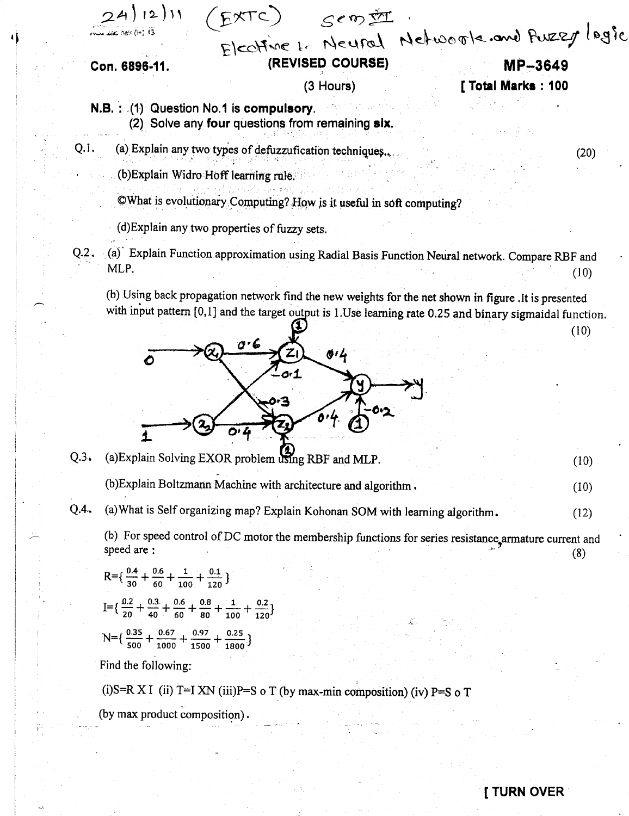$S$ e m逆[  $(E^{\text{XTC}})$  $N$ ct $w_0$  or  $|z,$  and fuzzo logic  $E$ coffre *1* Meur (REVISED COURSE) Con. 6896-11. MP-3649 (3 Hours) [ Total Marks : 100 N.B. ::(1) Question No.1 is compulsory. (2) Solve any four questions from remaining  $six$ . 0.1. (a) Explain any two types of defuzzufication techniques...  $(20)$ (b) Explain Widro Hoff learning rule. ©What is evolutionary Computing? How is it useful in soft computing? (d) Explain any two properties of fuzzy sets. Q.2. (a) Explain Function approximation using Radial Basis Function Neural network. Compare RBF and WLP. A construction of the set of the set of the set of the set of the set of the set of the set of the set of  $\Omega$ (b) Using back propagation network find the new weights for the net shown in figure .It is presented with input pattern [0,1] and the target output is 1.Use learning rate 0.25 and binary sigmaidal function.<br>(10)  $0.4$ Ο  $Q.3.$ (a) Explain Solving EXOR problem using RBF and MLP. (10) (b)Explain Boltzmann Machine with architecture and algorithm. (10) *QA..* (a)What is Self organizing map? Explain Kohonan SOM with learning algorithm. (12) (b) For speed control of DC motor the membership functions for series resistance,armature current and speed are :  $(8)$  $R = \{ \frac{0.4}{0.6} + \frac{0.6}{0.4} + \frac{1}{0.1} \}$  $30$   $60$   $100$   $120$  $=$ { $\frac{0.2}{+}$   $\frac{0.3}{+}$   $\frac{0.6}{+}$   $\frac{0.8}{+}$   $\frac{1}{-}$  +  $\frac{0.2}{-}$  $20$   $40$   $60$   $80$   $100$   $120$  $N=f\frac{0.35}{10.67}+\frac{0.67}{10.97}+\frac{0.25}{10.25}$  $00$  1000 1500 1500 Find the following: (i)S=R X I (ii) T=I XN (iii)P=S o T (by max-min composition) (iv) P=S o T (by max product composition).

#### **[ TURN OVER**